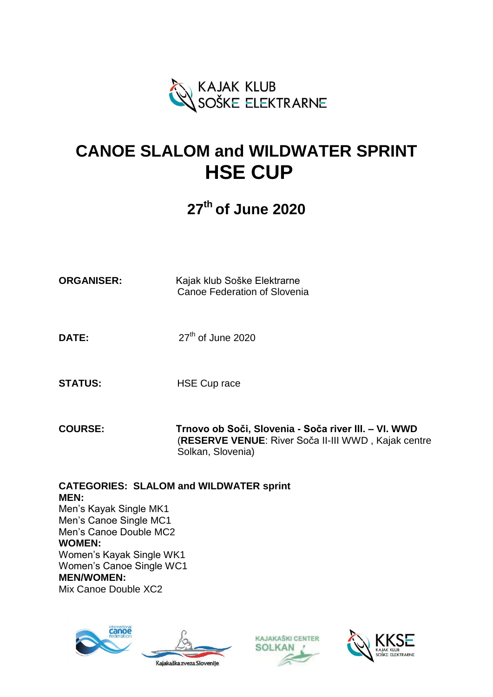

# **CANOE SLALOM and WILDWATER SPRINT HSE CUP**

# **27th of June 2020**

| <b>ORGANISER:</b> | Kajak klub Soške Elektrarne         |
|-------------------|-------------------------------------|
|                   | <b>Canoe Federation of Slovenia</b> |

DATE:  $27<sup>th</sup>$  of June 2020

**STATUS:** HSE Cup race

**COURSE: Trnovo ob Soči, Slovenia - Soča river III. – VI. WWD** (**RESERVE VENUE**: River Soča II-III WWD , Kajak centre Solkan, Slovenia)

**CATEGORIES: SLALOM and WILDWATER sprint MEN:** Men's Kayak Single MK1 Men's Canoe Single MC1 Men's Canoe Double MC2 **WOMEN:** Women's Kayak Single WK1 Women's Canoe Single WC1 **MEN/WOMEN:** Mix Canoe Double XC2





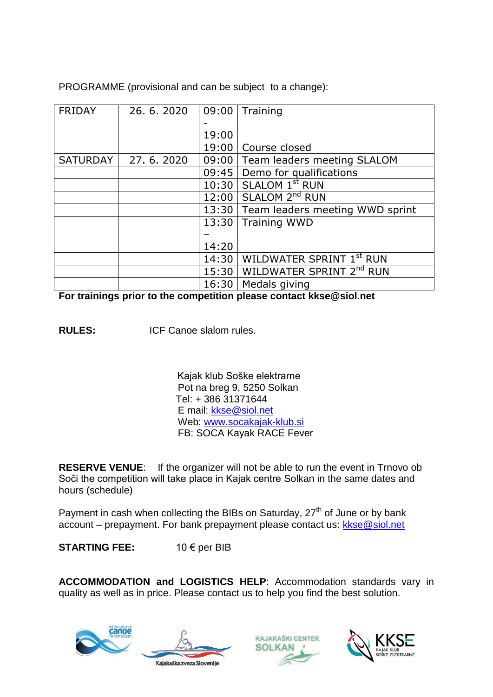PROGRAMME (provisional and can be subject to a change):

| <b>FRIDAY</b>   | 26, 6, 2020 | 09:00 | Training                             |
|-----------------|-------------|-------|--------------------------------------|
|                 |             |       |                                      |
|                 |             | 19:00 |                                      |
|                 |             | 19:00 | Course closed                        |
| <b>SATURDAY</b> | 27.6.2020   | 09:00 | Team leaders meeting SLALOM          |
|                 |             | 09:45 | Demo for qualifications              |
|                 |             | 10:30 | SLALOM 1 <sup>st</sup> RUN           |
|                 |             | 12:00 | SLALOM 2 <sup>nd</sup> RUN           |
|                 |             | 13:30 | Team leaders meeting WWD sprint      |
|                 |             | 13:30 | <b>Training WWD</b>                  |
|                 |             |       |                                      |
|                 |             | 14:20 |                                      |
|                 |             | 14:30 | WILDWATER SPRINT 1st RUN             |
|                 |             | 15:30 | WILDWATER SPRINT 2 <sup>nd</sup> RUN |
|                 |             | 16:30 | Medals giving                        |

**For trainings prior to the competition please contact kkse@siol.net**

**RULES:** ICF Canoe slalom rules.

 Kajak klub Soške elektrarne Pot na breg 9, 5250 Solkan Tel: + 386 31371644 E mail: [kkse@siol.net](mailto:kkse@siol.net) Web: [www.socakajak-klub.si](http://www.socakajak-klub.si/) FB: SOCA Kayak RACE Fever

**RESERVE VENUE**: If the organizer will not be able to run the event in Trnovo ob Soči the competition will take place in Kajak centre Solkan in the same dates and hours (schedule)

Payment in cash when collecting the BIBs on Saturday, 27<sup>th</sup> of June or by bank account – prepayment. For bank prepayment please contact us: [kkse@siol.net](mailto:kkse@siol.net)

**STARTING FEE:** 10 € per BIB

**ACCOMMODATION and LOGISTICS HELP**: Accommodation standards vary in quality as well as in price. Please contact us to help you find the best solution.







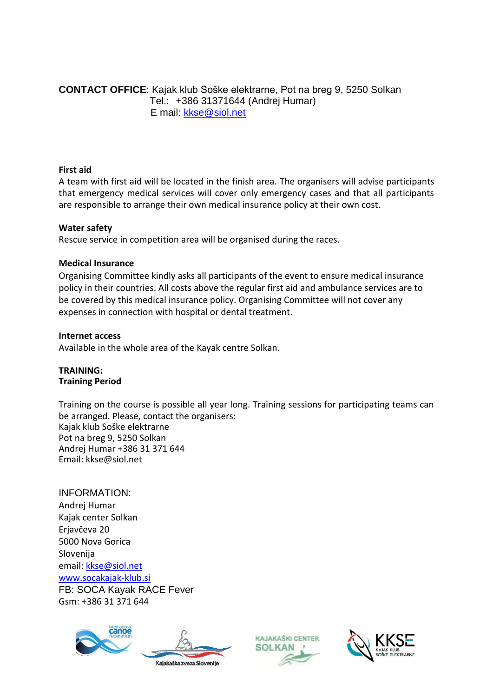**CONTACT OFFICE**: Kajak klub Soške elektrarne, Pot na breg 9, 5250 Solkan Tel.: +386 31371644 (Andrej Humar) E mail: [kkse@siol.net](mailto:kkse@siol.net)

#### **First aid**

A team with first aid will be located in the finish area. The organisers will advise participants that emergency medical services will cover only emergency cases and that all participants are responsible to arrange their own medical insurance policy at their own cost.

#### **Water safety**

Rescue service in competition area will be organised during the races.

# **Medical Insurance**

Organising Committee kindly asks all participants of the event to ensure medical insurance policy in their countries. All costs above the regular first aid and ambulance services are to be covered by this medical insurance policy. Organising Committee will not cover any expenses in connection with hospital or dental treatment.

# **Internet access**

Available in the whole area of the Kayak centre Solkan.

# **TRAINING: Training Period**

Training on the course is possible all year long. Training sessions for participating teams can be arranged. Please, contact the organisers: Kajak klub Soške elektrarne Pot na breg 9, 5250 Solkan Andrej Humar +386 31 371 644 Email: kkse@siol.net

INFORMATION: Andrej Humar Kajak center Solkan Erjavčeva 20 5000 Nova Gorica Slovenija email[: kkse@siol.net](mailto:kkse@siol.net) [www.socakajak-klub.si](http://www.socakajak-klub.si/) FB: SOCA Kayak RACE Fever Gsm: +386 31 371 644